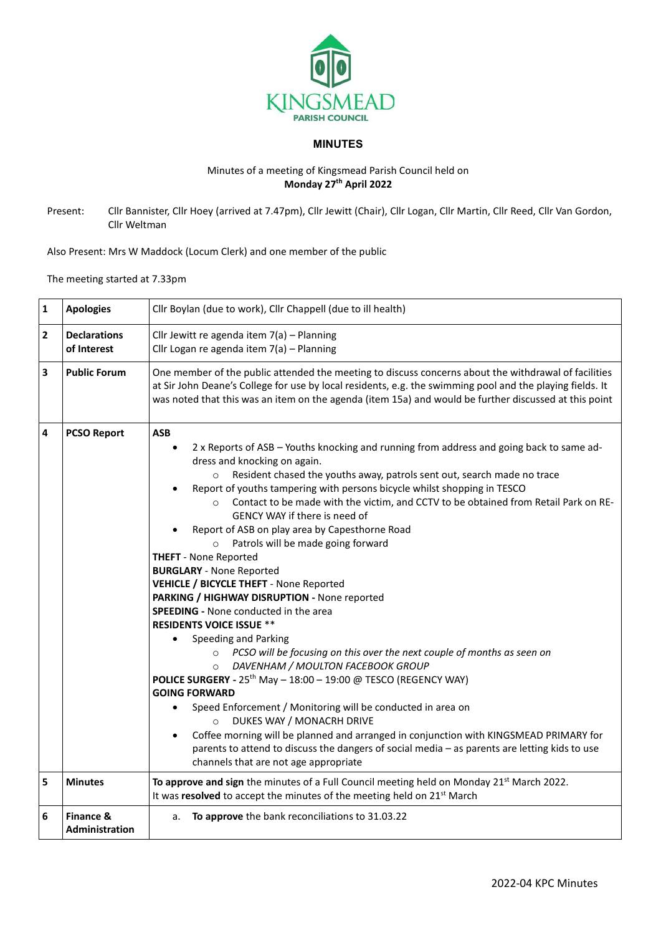

## **MINUTES**

## Minutes of a meeting of Kingsmead Parish Council held on **Monday 27 th April 2022**

Present: Cllr Bannister, Cllr Hoey (arrived at 7.47pm), Cllr Jewitt (Chair), Cllr Logan, Cllr Martin, Cllr Reed, Cllr Van Gordon, Cllr Weltman

Also Present: Mrs W Maddock (Locum Clerk) and one member of the public

The meeting started at 7.33pm

| $\mathbf 1$             | <b>Apologies</b>                   | Cllr Boylan (due to work), Cllr Chappell (due to ill health)                                                                                                                                                                                                                                                                                                                                                                                                                                                                                                                                                                                                                                                                                                                                                                                                                                                                                                                                                                                                                                                                                                                                                                                                                                                                                                                                                                                                     |  |  |
|-------------------------|------------------------------------|------------------------------------------------------------------------------------------------------------------------------------------------------------------------------------------------------------------------------------------------------------------------------------------------------------------------------------------------------------------------------------------------------------------------------------------------------------------------------------------------------------------------------------------------------------------------------------------------------------------------------------------------------------------------------------------------------------------------------------------------------------------------------------------------------------------------------------------------------------------------------------------------------------------------------------------------------------------------------------------------------------------------------------------------------------------------------------------------------------------------------------------------------------------------------------------------------------------------------------------------------------------------------------------------------------------------------------------------------------------------------------------------------------------------------------------------------------------|--|--|
| $\overline{\mathbf{2}}$ | <b>Declarations</b><br>of Interest | Cllr Jewitt re agenda item 7(a) - Planning<br>Cllr Logan re agenda item 7(a) - Planning                                                                                                                                                                                                                                                                                                                                                                                                                                                                                                                                                                                                                                                                                                                                                                                                                                                                                                                                                                                                                                                                                                                                                                                                                                                                                                                                                                          |  |  |
| 3                       | <b>Public Forum</b>                | One member of the public attended the meeting to discuss concerns about the withdrawal of facilities<br>at Sir John Deane's College for use by local residents, e.g. the swimming pool and the playing fields. It<br>was noted that this was an item on the agenda (item 15a) and would be further discussed at this point                                                                                                                                                                                                                                                                                                                                                                                                                                                                                                                                                                                                                                                                                                                                                                                                                                                                                                                                                                                                                                                                                                                                       |  |  |
| 4                       | <b>PCSO Report</b>                 | <b>ASB</b><br>2 x Reports of ASB - Youths knocking and running from address and going back to same ad-<br>$\bullet$<br>dress and knocking on again.<br>Resident chased the youths away, patrols sent out, search made no trace<br>$\circ$<br>Report of youths tampering with persons bicycle whilst shopping in TESCO<br>$\bullet$<br>Contact to be made with the victim, and CCTV to be obtained from Retail Park on RE-<br>$\circ$<br>GENCY WAY if there is need of<br>Report of ASB on play area by Capesthorne Road<br>Patrols will be made going forward<br>$\circ$<br><b>THEFT</b> - None Reported<br><b>BURGLARY</b> - None Reported<br><b>VEHICLE / BICYCLE THEFT - None Reported</b><br>PARKING / HIGHWAY DISRUPTION - None reported<br><b>SPEEDING - None conducted in the area</b><br><b>RESIDENTS VOICE ISSUE **</b><br>Speeding and Parking<br>PCSO will be focusing on this over the next couple of months as seen on<br>DAVENHAM / MOULTON FACEBOOK GROUP<br>$\circ$<br><b>POLICE SURGERY</b> - $25^{th}$ May - $18:00 - 19:00$ @ TESCO (REGENCY WAY)<br><b>GOING FORWARD</b><br>Speed Enforcement / Monitoring will be conducted in area on<br>$\bullet$<br>DUKES WAY / MONACRH DRIVE<br>$\circ$<br>Coffee morning will be planned and arranged in conjunction with KINGSMEAD PRIMARY for<br>$\bullet$<br>parents to attend to discuss the dangers of social media - as parents are letting kids to use<br>channels that are not age appropriate |  |  |
| 5                       | <b>Minutes</b>                     | To approve and sign the minutes of a Full Council meeting held on Monday 21 <sup>st</sup> March 2022.<br>It was resolved to accept the minutes of the meeting held on 21 <sup>st</sup> March                                                                                                                                                                                                                                                                                                                                                                                                                                                                                                                                                                                                                                                                                                                                                                                                                                                                                                                                                                                                                                                                                                                                                                                                                                                                     |  |  |
| 6                       | Finance &<br><b>Administration</b> | To approve the bank reconciliations to 31.03.22<br>a.                                                                                                                                                                                                                                                                                                                                                                                                                                                                                                                                                                                                                                                                                                                                                                                                                                                                                                                                                                                                                                                                                                                                                                                                                                                                                                                                                                                                            |  |  |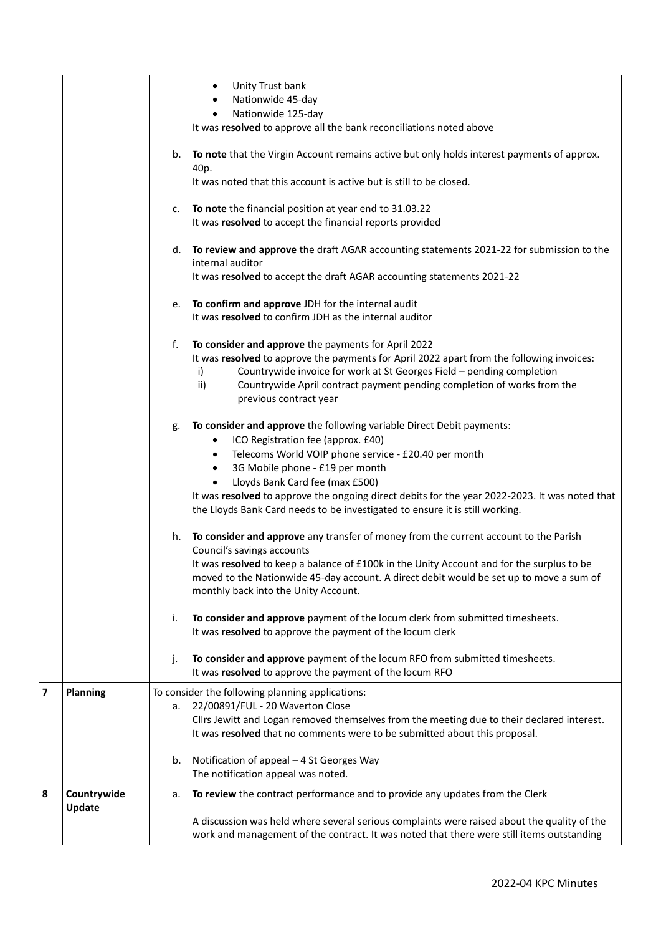|                         |                       | Unity Trust bank<br>٠                                                                                                                                                                    |
|-------------------------|-----------------------|------------------------------------------------------------------------------------------------------------------------------------------------------------------------------------------|
|                         |                       | Nationwide 45-day<br>Nationwide 125-day                                                                                                                                                  |
|                         |                       | It was resolved to approve all the bank reconciliations noted above                                                                                                                      |
|                         |                       |                                                                                                                                                                                          |
|                         |                       | To note that the Virgin Account remains active but only holds interest payments of approx.<br>b.<br>40p.                                                                                 |
|                         |                       | It was noted that this account is active but is still to be closed.                                                                                                                      |
|                         |                       | To note the financial position at year end to 31.03.22<br>c.                                                                                                                             |
|                         |                       | It was resolved to accept the financial reports provided                                                                                                                                 |
|                         |                       | To review and approve the draft AGAR accounting statements 2021-22 for submission to the<br>d.<br>internal auditor                                                                       |
|                         |                       | It was resolved to accept the draft AGAR accounting statements 2021-22                                                                                                                   |
|                         |                       | To confirm and approve JDH for the internal audit<br>e.<br>It was resolved to confirm JDH as the internal auditor                                                                        |
|                         |                       | f.                                                                                                                                                                                       |
|                         |                       | To consider and approve the payments for April 2022<br>It was resolved to approve the payments for April 2022 apart from the following invoices:                                         |
|                         |                       | Countrywide invoice for work at St Georges Field - pending completion<br>i)                                                                                                              |
|                         |                       | Countrywide April contract payment pending completion of works from the<br>ii)<br>previous contract year                                                                                 |
|                         |                       | To consider and approve the following variable Direct Debit payments:<br>g.                                                                                                              |
|                         |                       | ICO Registration fee (approx. £40)<br>$\bullet$                                                                                                                                          |
|                         |                       | Telecoms World VOIP phone service - £20.40 per month<br>٠                                                                                                                                |
|                         |                       | 3G Mobile phone - £19 per month<br>$\bullet$                                                                                                                                             |
|                         |                       | Lloyds Bank Card fee (max £500)<br>$\bullet$                                                                                                                                             |
|                         |                       | It was resolved to approve the ongoing direct debits for the year 2022-2023. It was noted that<br>the Lloyds Bank Card needs to be investigated to ensure it is still working.           |
|                         |                       | To consider and approve any transfer of money from the current account to the Parish<br>h.<br>Council's savings accounts                                                                 |
|                         |                       | It was resolved to keep a balance of £100k in the Unity Account and for the surplus to be                                                                                                |
|                         |                       | moved to the Nationwide 45-day account. A direct debit would be set up to move a sum of<br>monthly back into the Unity Account.                                                          |
|                         |                       | i.<br>To consider and approve payment of the locum clerk from submitted timesheets.                                                                                                      |
|                         |                       | It was resolved to approve the payment of the locum clerk                                                                                                                                |
|                         |                       | To consider and approve payment of the locum RFO from submitted timesheets.<br>j.<br>It was resolved to approve the payment of the locum RFO                                             |
| $\overline{\mathbf{z}}$ | <b>Planning</b>       | To consider the following planning applications:                                                                                                                                         |
|                         |                       | 22/00891/FUL - 20 Waverton Close<br>а.                                                                                                                                                   |
|                         |                       | Cllrs Jewitt and Logan removed themselves from the meeting due to their declared interest.<br>It was resolved that no comments were to be submitted about this proposal.                 |
|                         |                       | Notification of appeal - 4 St Georges Way<br>b.                                                                                                                                          |
|                         |                       | The notification appeal was noted.                                                                                                                                                       |
| 8                       | Countrywide<br>Update | To review the contract performance and to provide any updates from the Clerk<br>а.                                                                                                       |
|                         |                       | A discussion was held where several serious complaints were raised about the quality of the<br>work and management of the contract. It was noted that there were still items outstanding |
|                         |                       |                                                                                                                                                                                          |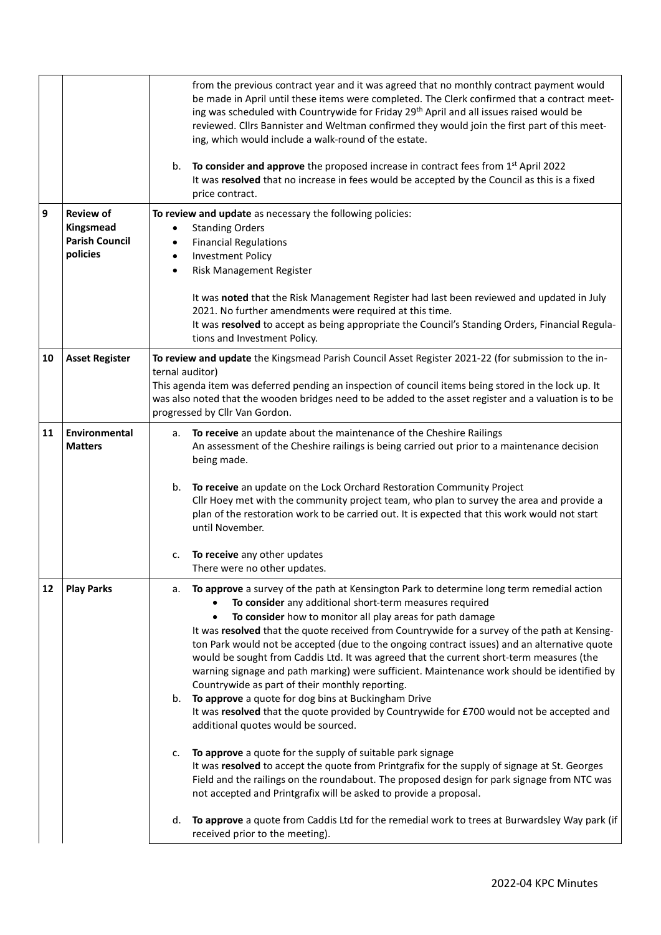|    |                                                                    | from the previous contract year and it was agreed that no monthly contract payment would<br>be made in April until these items were completed. The Clerk confirmed that a contract meet-<br>ing was scheduled with Countrywide for Friday 29 <sup>th</sup> April and all issues raised would be<br>reviewed. Cllrs Bannister and Weltman confirmed they would join the first part of this meet-<br>ing, which would include a walk-round of the estate.<br>To consider and approve the proposed increase in contract fees from $1st$ April 2022<br>b.<br>It was resolved that no increase in fees would be accepted by the Council as this is a fixed<br>price contract.                                                                                                                                                                                                                                                                                                                                                                                                                                                                                                                                                                                                                                                                                   |  |
|----|--------------------------------------------------------------------|------------------------------------------------------------------------------------------------------------------------------------------------------------------------------------------------------------------------------------------------------------------------------------------------------------------------------------------------------------------------------------------------------------------------------------------------------------------------------------------------------------------------------------------------------------------------------------------------------------------------------------------------------------------------------------------------------------------------------------------------------------------------------------------------------------------------------------------------------------------------------------------------------------------------------------------------------------------------------------------------------------------------------------------------------------------------------------------------------------------------------------------------------------------------------------------------------------------------------------------------------------------------------------------------------------------------------------------------------------|--|
| 9  | <b>Review of</b><br>Kingsmead<br><b>Parish Council</b><br>policies | To review and update as necessary the following policies:<br><b>Standing Orders</b><br>٠<br><b>Financial Regulations</b><br>$\bullet$<br><b>Investment Policy</b><br>$\bullet$<br>Risk Management Register<br>$\bullet$<br>It was noted that the Risk Management Register had last been reviewed and updated in July<br>2021. No further amendments were required at this time.<br>It was resolved to accept as being appropriate the Council's Standing Orders, Financial Regula-                                                                                                                                                                                                                                                                                                                                                                                                                                                                                                                                                                                                                                                                                                                                                                                                                                                                         |  |
| 10 | <b>Asset Register</b>                                              | tions and Investment Policy.<br>To review and update the Kingsmead Parish Council Asset Register 2021-22 (for submission to the in-<br>ternal auditor)<br>This agenda item was deferred pending an inspection of council items being stored in the lock up. It<br>was also noted that the wooden bridges need to be added to the asset register and a valuation is to be<br>progressed by Cllr Van Gordon.                                                                                                                                                                                                                                                                                                                                                                                                                                                                                                                                                                                                                                                                                                                                                                                                                                                                                                                                                 |  |
| 11 | <b>Environmental</b><br><b>Matters</b>                             | a. To receive an update about the maintenance of the Cheshire Railings<br>An assessment of the Cheshire railings is being carried out prior to a maintenance decision<br>being made.<br>To receive an update on the Lock Orchard Restoration Community Project<br>b.<br>Cllr Hoey met with the community project team, who plan to survey the area and provide a<br>plan of the restoration work to be carried out. It is expected that this work would not start<br>until November.<br>To receive any other updates<br>c.<br>There were no other updates.                                                                                                                                                                                                                                                                                                                                                                                                                                                                                                                                                                                                                                                                                                                                                                                                 |  |
| 12 | <b>Play Parks</b>                                                  | To approve a survey of the path at Kensington Park to determine long term remedial action<br>а.<br>To consider any additional short-term measures required<br>To consider how to monitor all play areas for path damage<br>It was resolved that the quote received from Countrywide for a survey of the path at Kensing-<br>ton Park would not be accepted (due to the ongoing contract issues) and an alternative quote<br>would be sought from Caddis Ltd. It was agreed that the current short-term measures (the<br>warning signage and path marking) were sufficient. Maintenance work should be identified by<br>Countrywide as part of their monthly reporting.<br>To approve a quote for dog bins at Buckingham Drive<br>b.<br>It was resolved that the quote provided by Countrywide for £700 would not be accepted and<br>additional quotes would be sourced.<br>To approve a quote for the supply of suitable park signage<br>c.<br>It was resolved to accept the quote from Printgrafix for the supply of signage at St. Georges<br>Field and the railings on the roundabout. The proposed design for park signage from NTC was<br>not accepted and Printgrafix will be asked to provide a proposal.<br>To approve a quote from Caddis Ltd for the remedial work to trees at Burwardsley Way park (if<br>d.<br>received prior to the meeting). |  |